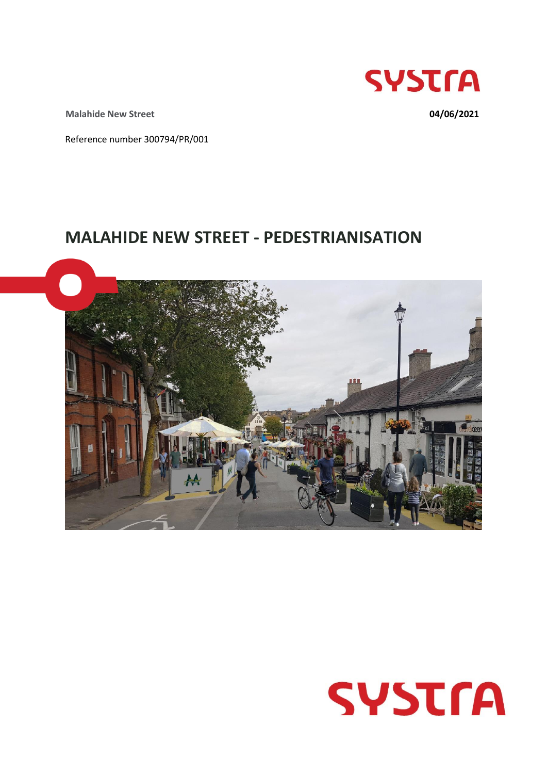

**Malahide New Street 04/06/2021**

Reference number 300794/PR/001

# **MALAHIDE NEW STREET - PEDESTRIANISATION**



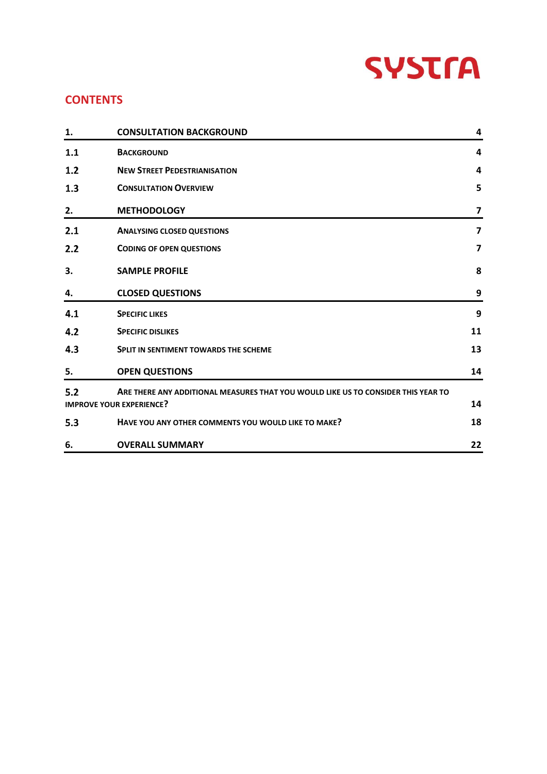# **SYSTFA**

## **CONTENTS**

| 1.  | <b>CONSULTATION BACKGROUND</b>                                                    | 4                       |
|-----|-----------------------------------------------------------------------------------|-------------------------|
| 1.1 | <b>BACKGROUND</b>                                                                 | 4                       |
| 1.2 | <b>NEW STREET PEDESTRIANISATION</b>                                               | $\overline{\mathbf{4}}$ |
| 1.3 | <b>CONSULTATION OVERVIEW</b>                                                      | 5                       |
| 2.  | <b>METHODOLOGY</b>                                                                | 7                       |
| 2.1 | <b>ANALYSING CLOSED QUESTIONS</b>                                                 | $\overline{\mathbf{z}}$ |
| 2.2 | <b>CODING OF OPEN QUESTIONS</b>                                                   | $\overline{7}$          |
| 3.  | <b>SAMPLE PROFILE</b>                                                             | 8                       |
| 4.  | <b>CLOSED QUESTIONS</b>                                                           | 9                       |
| 4.1 | <b>SPECIFIC LIKES</b>                                                             | 9                       |
| 4.2 | <b>SPECIFIC DISLIKES</b>                                                          | 11                      |
| 4.3 | <b>SPLIT IN SENTIMENT TOWARDS THE SCHEME</b>                                      | 13                      |
| 5.  | <b>OPEN QUESTIONS</b>                                                             | 14                      |
| 5.2 | ARE THERE ANY ADDITIONAL MEASURES THAT YOU WOULD LIKE US TO CONSIDER THIS YEAR TO |                         |
|     | <b>IMPROVE YOUR EXPERIENCE?</b>                                                   | 14                      |
| 5.3 | HAVE YOU ANY OTHER COMMENTS YOU WOULD LIKE TO MAKE?                               | 18                      |
| 6.  | <b>OVERALL SUMMARY</b>                                                            | 22                      |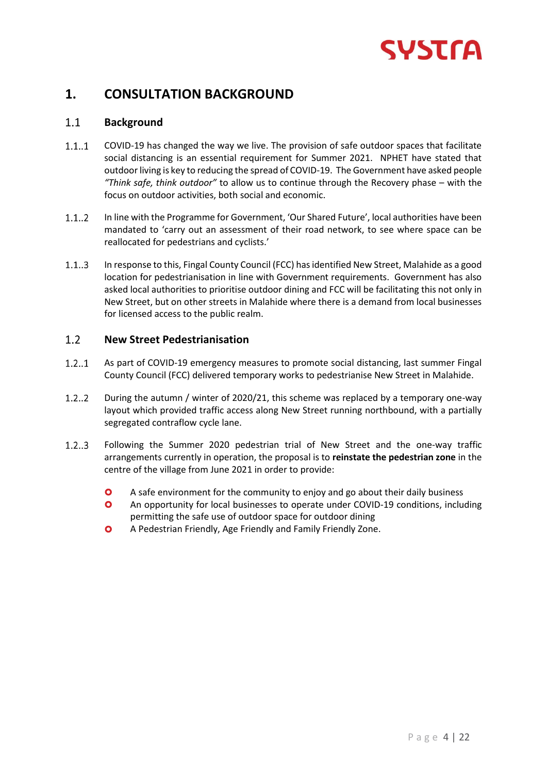

# <span id="page-2-0"></span>**1. CONSULTATION BACKGROUND**

#### <span id="page-2-1"></span> $1.1$ **Background**

- $1.1..1$ COVID-19 has changed the way we live. The provision of safe outdoor spaces that facilitate social distancing is an essential requirement for Summer 2021. NPHET have stated that outdoor living is key to reducing the spread of COVID-19. The Government have asked people *"Think safe, think outdoor"* to allow us to continue through the Recovery phase – with the focus on outdoor activities, both social and economic.
- $1.1.2$ In line with the Programme for Government, 'Our Shared Future', local authorities have been mandated to 'carry out an assessment of their road network, to see where space can be reallocated for pedestrians and cyclists.'
- $1.1..3$ In response to this, Fingal County Council (FCC) has identified New Street, Malahide as a good location for pedestrianisation in line with Government requirements. Government has also asked local authorities to prioritise outdoor dining and FCC will be facilitating this not only in New Street, but on other streets in Malahide where there is a demand from local businesses for licensed access to the public realm.

#### <span id="page-2-2"></span> $1.2$ **New Street Pedestrianisation**

- $1.2..1$ As part of COVID-19 emergency measures to promote social distancing, last summer Fingal County Council (FCC) delivered temporary works to pedestrianise New Street in Malahide.
- $1.2..2$ During the autumn / winter of 2020/21, this scheme was replaced by a temporary one-way layout which provided traffic access along New Street running northbound, with a partially segregated contraflow cycle lane.
- $1.2..3$ Following the Summer 2020 pedestrian trial of New Street and the one-way traffic arrangements currently in operation, the proposal is to **reinstate the pedestrian zone** in the centre of the village from June 2021 in order to provide:
	- A safe environment for the community to enjoy and go about their daily business
	- An opportunity for local businesses to operate under COVID-19 conditions, including permitting the safe use of outdoor space for outdoor dining
	- A Pedestrian Friendly, Age Friendly and Family Friendly Zone.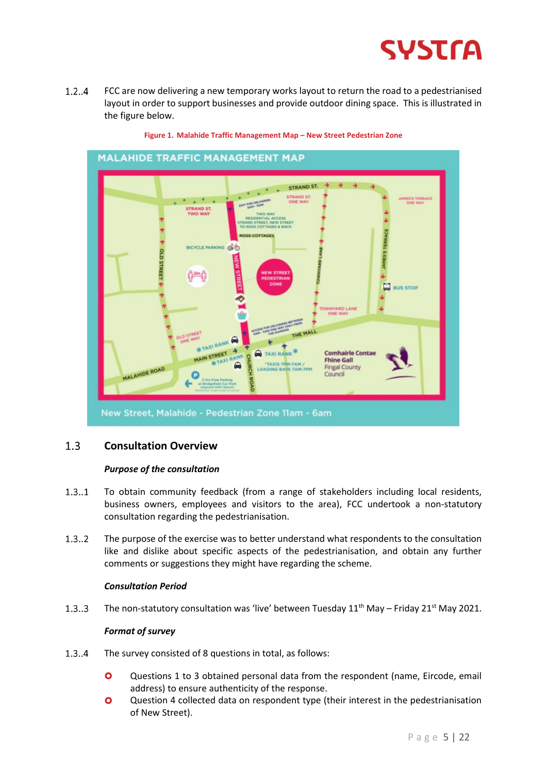

 $1.2..4$ FCC are now delivering a new temporary works layout to return the road to a pedestrianised layout in order to support businesses and provide outdoor dining space. This is illustrated in the figure below.



**Figure 1. Malahide Traffic Management Map – New Street Pedestrian Zone**

#### <span id="page-3-0"></span> $1.3$ **Consultation Overview**

#### *Purpose of the consultation*

- $1.3..1$ To obtain community feedback (from a range of stakeholders including local residents, business owners, employees and visitors to the area), FCC undertook a non-statutory consultation regarding the pedestrianisation.
- $1.3..2$ The purpose of the exercise was to better understand what respondents to the consultation like and dislike about specific aspects of the pedestrianisation, and obtain any further comments or suggestions they might have regarding the scheme.

#### *Consultation Period*

 $1.3..3$ The non-statutory consultation was 'live' between Tuesday  $11<sup>th</sup>$  May – Friday 21<sup>st</sup> May 2021.

#### *Format of survey*

- $1.3.4$ The survey consisted of 8 questions in total, as follows:
	- Questions 1 to 3 obtained personal data from the respondent (name, Eircode, email address) to ensure authenticity of the response.
	- **O** Question 4 collected data on respondent type (their interest in the pedestrianisation of New Street).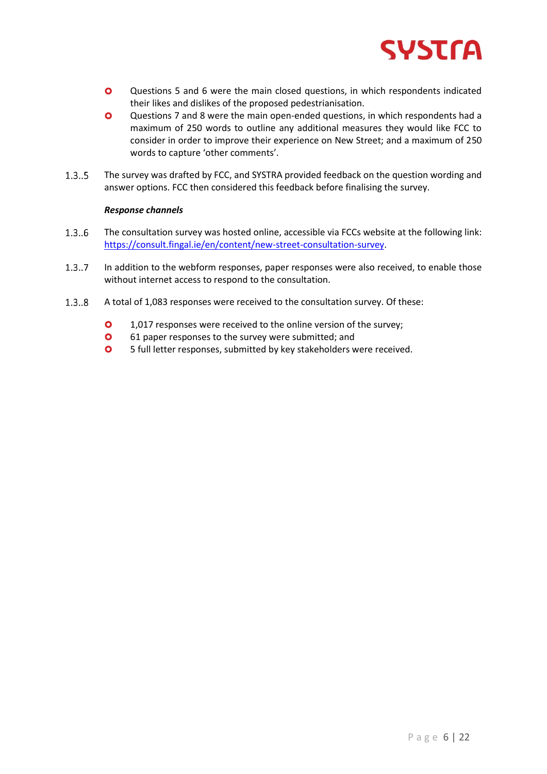

- **Q** Questions 5 and 6 were the main closed questions, in which respondents indicated their likes and dislikes of the proposed pedestrianisation.
- Questions 7 and 8 were the main open-ended questions, in which respondents had a maximum of 250 words to outline any additional measures they would like FCC to consider in order to improve their experience on New Street; and a maximum of 250 words to capture 'other comments'.
- $1.3..5$ The survey was drafted by FCC, and SYSTRA provided feedback on the question wording and answer options. FCC then considered this feedback before finalising the survey.

#### *Response channels*

- $1.3..6$ The consultation survey was hosted online, accessible via FCCs website at the following link: [https://consult.fingal.ie/en/content/new-street-consultation-survey.](https://consult.fingal.ie/en/content/new-street-consultation-survey)
- $1.3..7$ In addition to the webform responses, paper responses were also received, to enable those without internet access to respond to the consultation.
- $1.3..8$ A total of 1,083 responses were received to the consultation survey. Of these:
	- **0** 1,017 responses were received to the online version of the survey;
	- **O** 61 paper responses to the survey were submitted; and
	- **O** 5 full letter responses, submitted by key stakeholders were received.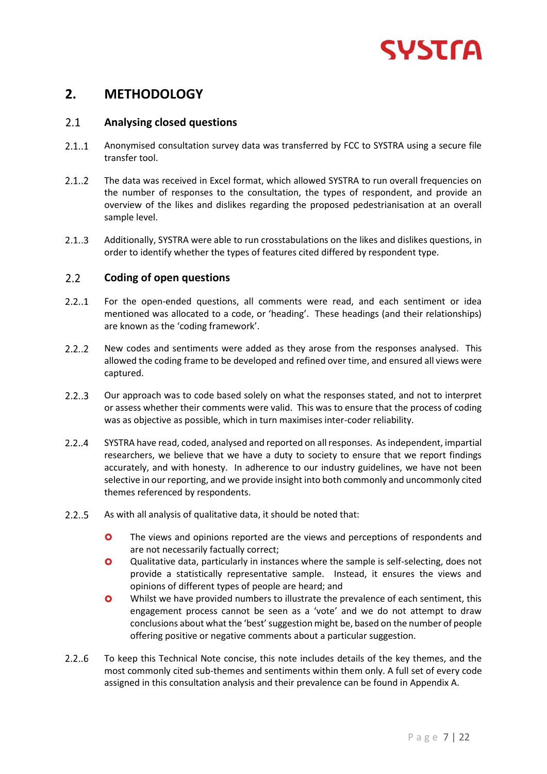

# <span id="page-5-0"></span>**2. METHODOLOGY**

#### <span id="page-5-1"></span> $2.1$ **Analysing closed questions**

- $2.1..1$ Anonymised consultation survey data was transferred by FCC to SYSTRA using a secure file transfer tool.
- $2.1..2$ The data was received in Excel format, which allowed SYSTRA to run overall frequencies on the number of responses to the consultation, the types of respondent, and provide an overview of the likes and dislikes regarding the proposed pedestrianisation at an overall sample level.
- $2.1.3$ Additionally, SYSTRA were able to run crosstabulations on the likes and dislikes questions, in order to identify whether the types of features cited differed by respondent type.

#### <span id="page-5-2"></span> $2.2^{\circ}$ **Coding of open questions**

- $2.2...1$ For the open-ended questions, all comments were read, and each sentiment or idea mentioned was allocated to a code, or 'heading'. These headings (and their relationships) are known as the 'coding framework'.
- $2.2.2$ New codes and sentiments were added as they arose from the responses analysed. This allowed the coding frame to be developed and refined over time, and ensured all views were captured.
- $2.2...3$ Our approach was to code based solely on what the responses stated, and not to interpret or assess whether their comments were valid. This was to ensure that the process of coding was as objective as possible, which in turn maximises inter-coder reliability.
- $2.2.4$ SYSTRA have read, coded, analysed and reported on all responses. As independent, impartial researchers, we believe that we have a duty to society to ensure that we report findings accurately, and with honesty. In adherence to our industry guidelines, we have not been selective in our reporting, and we provide insight into both commonly and uncommonly cited themes referenced by respondents.
- $2.2.5$ As with all analysis of qualitative data, it should be noted that:
	- **O** The views and opinions reported are the views and perceptions of respondents and are not necessarily factually correct;
	- Qualitative data, particularly in instances where the sample is self-selecting, does not provide a statistically representative sample. Instead, it ensures the views and opinions of different types of people are heard; and
	- **O** Whilst we have provided numbers to illustrate the prevalence of each sentiment, this engagement process cannot be seen as a 'vote' and we do not attempt to draw conclusions about what the 'best' suggestion might be, based on the number of people offering positive or negative comments about a particular suggestion.
- $2.2.6$ To keep this Technical Note concise, this note includes details of the key themes, and the most commonly cited sub-themes and sentiments within them only. A full set of every code assigned in this consultation analysis and their prevalence can be found in Appendix A.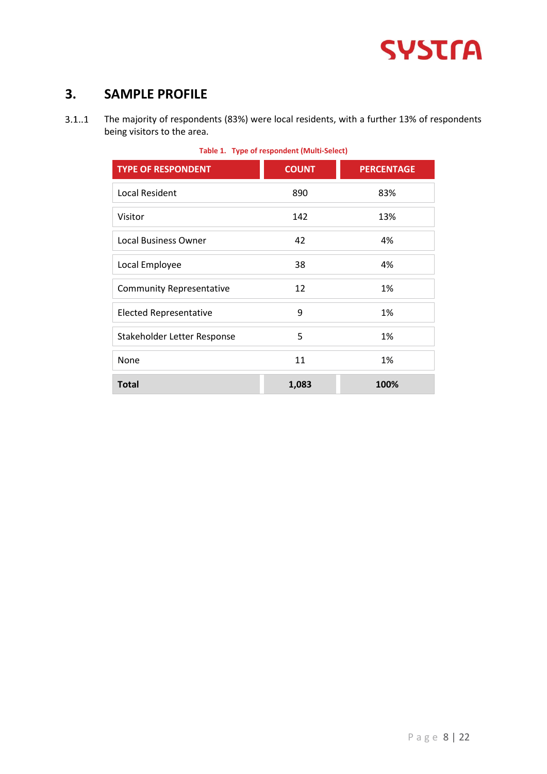

# <span id="page-6-0"></span>**3. SAMPLE PROFILE**

The majority of respondents (83%) were local residents, with a further 13% of respondents  $3.1..1$ being visitors to the area.

| <b>TYPE OF RESPONDENT</b>       | <b>COUNT</b> | <b>PERCENTAGE</b> |  |  |  |  |
|---------------------------------|--------------|-------------------|--|--|--|--|
| <b>Local Resident</b>           | 890          | 83%               |  |  |  |  |
| Visitor                         | 142          | 13%               |  |  |  |  |
| <b>Local Business Owner</b>     | 42           | 4%                |  |  |  |  |
| Local Employee                  | 38           | 4%                |  |  |  |  |
| <b>Community Representative</b> | 12           | 1%                |  |  |  |  |
| <b>Elected Representative</b>   | 9            | 1%                |  |  |  |  |
| Stakeholder Letter Response     | 5            | 1%                |  |  |  |  |
| None                            | 11           | 1%                |  |  |  |  |
| <b>Total</b>                    | 1,083        | 100%              |  |  |  |  |

#### **Table 1. Type of respondent (Multi-Select)**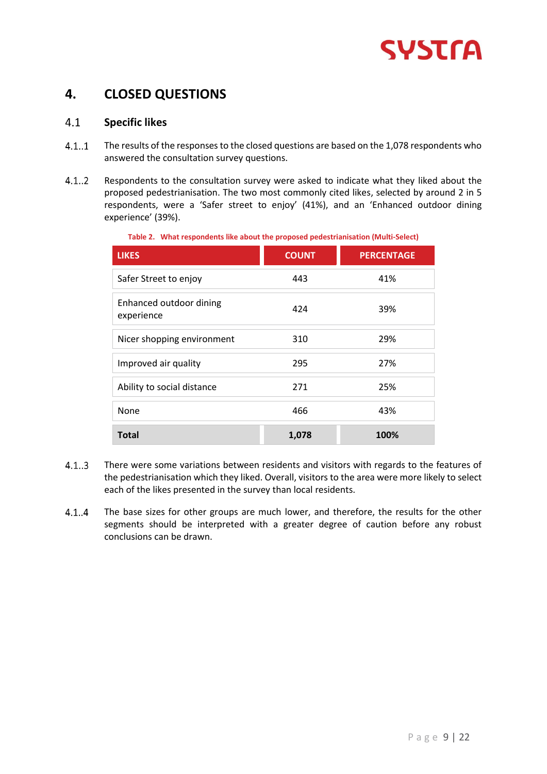

# <span id="page-7-0"></span>**4. CLOSED QUESTIONS**

#### <span id="page-7-1"></span> $4.1$ **Specific likes**

- $4.1..1$ The results of the responses to the closed questions are based on the 1,078 respondents who answered the consultation survey questions.
- $4.1..2$ Respondents to the consultation survey were asked to indicate what they liked about the proposed pedestrianisation. The two most commonly cited likes, selected by around 2 in 5 respondents, were a 'Safer street to enjoy' (41%), and an 'Enhanced outdoor dining experience' (39%).

**Table 2. What respondents like about the proposed pedestrianisation (Multi-Select)**

| <b>LIKES</b>                          | <b>COUNT</b> | <b>PERCENTAGE</b> |
|---------------------------------------|--------------|-------------------|
| Safer Street to enjoy                 | 443          | 41%               |
| Enhanced outdoor dining<br>experience | 424          | 39%               |
| Nicer shopping environment            | 310          | 29%               |
| Improved air quality                  | 295          | 27%               |
| Ability to social distance            | 271          | 25%               |
| None                                  | 466          | 43%               |
| <b>Total</b>                          | 1,078        | 100%              |

- $4.1...3$ There were some variations between residents and visitors with regards to the features of the pedestrianisation which they liked. Overall, visitors to the area were more likely to select each of the likes presented in the survey than local residents.
- $4.1.4$ The base sizes for other groups are much lower, and therefore, the results for the other segments should be interpreted with a greater degree of caution before any robust conclusions can be drawn.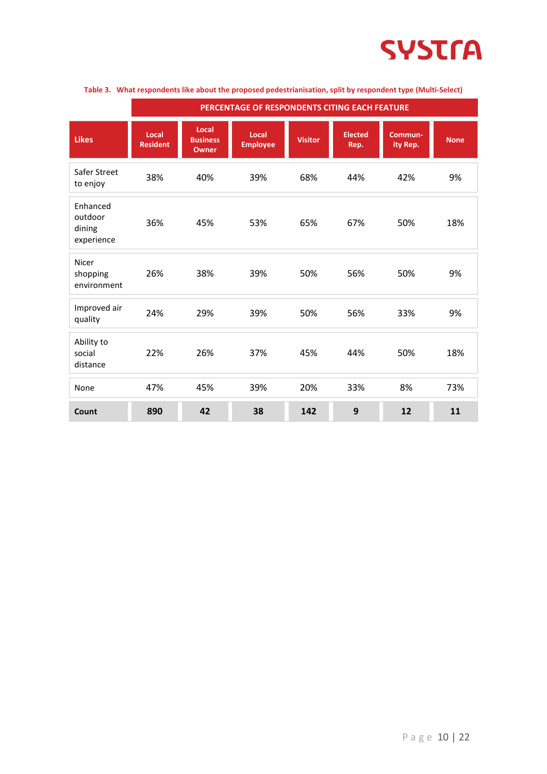

|                                             | PERCENTAGE OF RESPONDENTS CITING EACH FEATURE |                                          |                          |                |                        |                     |             |
|---------------------------------------------|-----------------------------------------------|------------------------------------------|--------------------------|----------------|------------------------|---------------------|-------------|
| <b>Likes</b>                                | Local<br><b>Resident</b>                      | Local<br><b>Business</b><br><b>Owner</b> | Local<br><b>Employee</b> | <b>Visitor</b> | <b>Elected</b><br>Rep. | Commun-<br>ity Rep. | <b>None</b> |
| Safer Street<br>to enjoy                    | 38%                                           | 40%                                      | 39%                      | 68%            | 44%                    | 42%                 | 9%          |
| Enhanced<br>outdoor<br>dining<br>experience | 36%                                           | 45%                                      | 53%                      | 65%            | 67%                    | 50%                 | 18%         |
| Nicer<br>shopping<br>environment            | 26%                                           | 38%                                      | 39%                      | 50%            | 56%                    | 50%                 | 9%          |
| Improved air<br>quality                     | 24%                                           | 29%                                      | 39%                      | 50%            | 56%                    | 33%                 | 9%          |
| Ability to<br>social<br>distance            | 22%                                           | 26%                                      | 37%                      | 45%            | 44%                    | 50%                 | 18%         |
| None                                        | 47%                                           | 45%                                      | 39%                      | 20%            | 33%                    | 8%                  | 73%         |
| Count                                       | 890                                           | 42                                       | 38                       | 142            | 9                      | 12                  | 11          |

#### **Table 3. What respondents like about the proposed pedestrianisation, split by respondent type (Multi-Select)**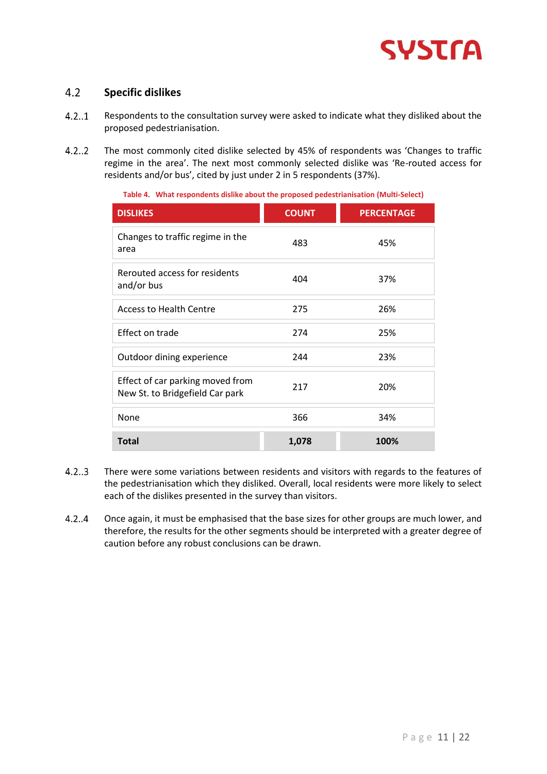

#### <span id="page-9-0"></span> $4.2$ **Specific dislikes**

- $4.2..1$ Respondents to the consultation survey were asked to indicate what they disliked about the proposed pedestrianisation.
- $4.2..2$ The most commonly cited dislike selected by 45% of respondents was 'Changes to traffic regime in the area'. The next most commonly selected dislike was 'Re-routed access for residents and/or bus', cited by just under 2 in 5 respondents (37%).

**Table 4. What respondents dislike about the proposed pedestrianisation (Multi-Select)**

| <b>DISLIKES</b>                                                     | <b>COUNT</b> | <b>PERCENTAGE</b> |
|---------------------------------------------------------------------|--------------|-------------------|
| Changes to traffic regime in the<br>area                            | 483          | 45%               |
| Rerouted access for residents<br>and/or bus                         | 404          | 37%               |
| <b>Access to Health Centre</b>                                      | 275          | 26%               |
| Effect on trade                                                     | 274          | 25%               |
| Outdoor dining experience                                           | 244          | 23%               |
| Effect of car parking moved from<br>New St. to Bridgefield Car park | 217          | 20%               |
| None                                                                | 366          | 34%               |
| <b>Total</b>                                                        | 1,078        | 100%              |

- $4.2..3$ There were some variations between residents and visitors with regards to the features of the pedestrianisation which they disliked. Overall, local residents were more likely to select each of the dislikes presented in the survey than visitors.
- $4.2..4$ Once again, it must be emphasised that the base sizes for other groups are much lower, and therefore, the results for the other segments should be interpreted with a greater degree of caution before any robust conclusions can be drawn.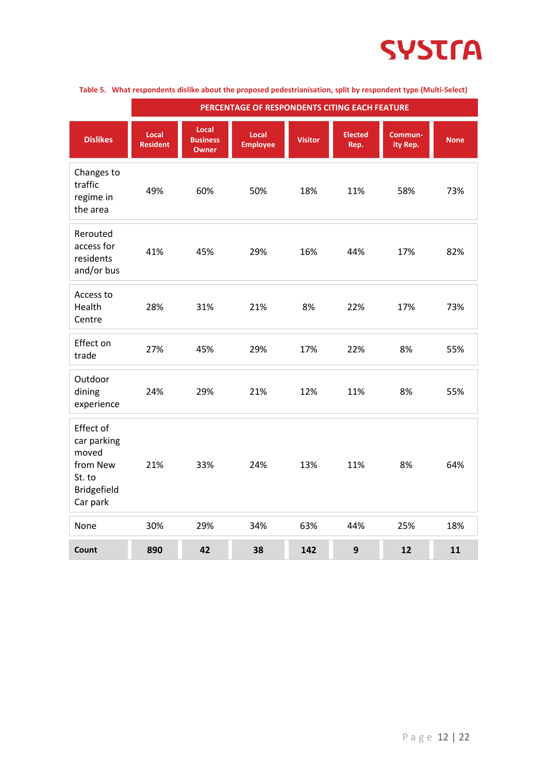

|                                                                                    | PERCENTAGE OF RESPONDENTS CITING EACH FEATURE |                                          |                          |                |                        |                     |             |
|------------------------------------------------------------------------------------|-----------------------------------------------|------------------------------------------|--------------------------|----------------|------------------------|---------------------|-------------|
| <b>Dislikes</b>                                                                    | Local<br><b>Resident</b>                      | Local<br><b>Business</b><br><b>Owner</b> | Local<br><b>Employee</b> | <b>Visitor</b> | <b>Elected</b><br>Rep. | Commun-<br>ity Rep. | <b>None</b> |
| Changes to<br>traffic<br>regime in<br>the area                                     | 49%                                           | 60%                                      | 50%                      | 18%            | 11%                    | 58%                 | 73%         |
| Rerouted<br>access for<br>residents<br>and/or bus                                  | 41%                                           | 45%                                      | 29%                      | 16%            | 44%                    | 17%                 | 82%         |
| Access to<br>Health<br>Centre                                                      | 28%                                           | 31%                                      | 21%                      | 8%             | 22%                    | 17%                 | 73%         |
| Effect on<br>trade                                                                 | 27%                                           | 45%                                      | 29%                      | 17%            | 22%                    | 8%                  | 55%         |
| Outdoor<br>dining<br>experience                                                    | 24%                                           | 29%                                      | 21%                      | 12%            | 11%                    | 8%                  | 55%         |
| Effect of<br>car parking<br>moved<br>from New<br>St. to<br>Bridgefield<br>Car park | 21%                                           | 33%                                      | 24%                      | 13%            | 11%                    | 8%                  | 64%         |
| None                                                                               | 30%                                           | 29%                                      | 34%                      | 63%            | 44%                    | 25%                 | 18%         |
| Count                                                                              | 890                                           | 42                                       | 38                       | 142            | 9                      | 12                  | 11          |

#### **Table 5. What respondents dislike about the proposed pedestrianisation, split by respondent type (Multi-Select)**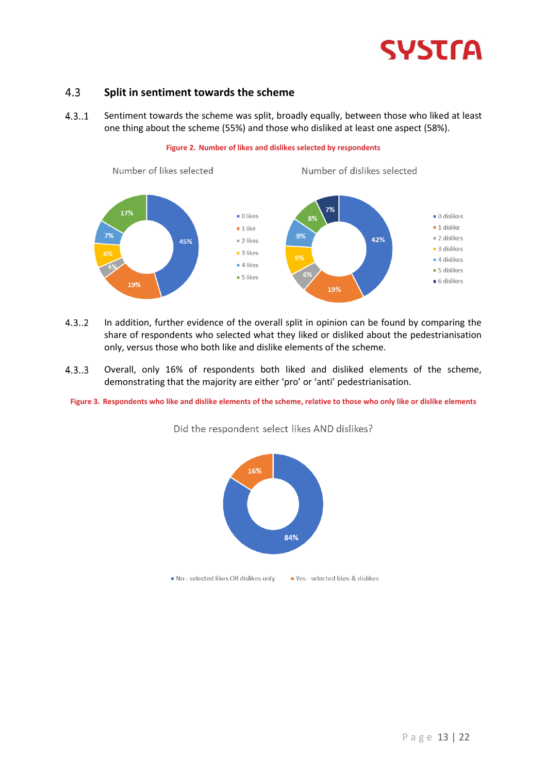

#### <span id="page-11-0"></span> $4.3$ **Split in sentiment towards the scheme**

 $4.3.1$ Sentiment towards the scheme was split, broadly equally, between those who liked at least one thing about the scheme (55%) and those who disliked at least one aspect (58%).

**Figure 2. Number of likes and dislikes selected by respondents**



- $4.3..2$ In addition, further evidence of the overall split in opinion can be found by comparing the share of respondents who selected what they liked or disliked about the pedestrianisation only, versus those who both like and dislike elements of the scheme.
- $4.3...3$ Overall, only 16% of respondents both liked and disliked elements of the scheme, demonstrating that the majority are either 'pro' or 'anti' pedestrianisation.

**Figure 3. Respondents who like and dislike elements of the scheme, relative to those who only like or dislike elements**



Did the respondent select likes AND dislikes?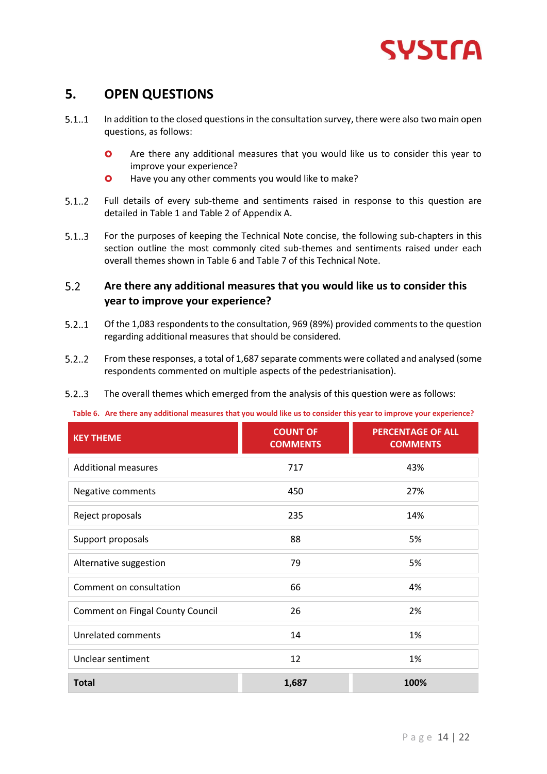

# <span id="page-12-0"></span>**5. OPEN QUESTIONS**

- $5.1.1$ In addition to the closed questions in the consultation survey, there were also two main open questions, as follows:
	- **O** Are there any additional measures that you would like us to consider this year to improve your experience?
	- **O** Have you any other comments you would like to make?
- $5.1..2$ Full details of every sub-theme and sentiments raised in response to this question are detailed in Table 1 and Table 2 of Appendix A.
- $5.1...3$ For the purposes of keeping the Technical Note concise, the following sub-chapters in this section outline the most commonly cited sub-themes and sentiments raised under each overall themes shown in Table 6 and Table 7 of this Technical Note.

#### <span id="page-12-1"></span> $5.2$ **Are there any additional measures that you would like us to consider this year to improve your experience?**

- $5.2...1$ Of the 1,083 respondents to the consultation, 969 (89%) provided comments to the question regarding additional measures that should be considered.
- $5.2.2$ From these responses, a total of 1,687 separate comments were collated and analysed (some respondents commented on multiple aspects of the pedestrianisation).
- $5.2...3$ The overall themes which emerged from the analysis of this question were as follows:

#### **Table 6. Are there any additional measures that you would like us to consider this year to improve your experience?**

| <b>KEY THEME</b>                        | <b>COUNT OF</b><br><b>COMMENTS</b> | <b>PERCENTAGE OF ALL</b><br><b>COMMENTS</b> |
|-----------------------------------------|------------------------------------|---------------------------------------------|
| <b>Additional measures</b>              | 717                                | 43%                                         |
| Negative comments                       | 450                                | 27%                                         |
| Reject proposals                        | 235                                | 14%                                         |
| Support proposals                       | 88                                 | 5%                                          |
| Alternative suggestion                  | 79                                 | 5%                                          |
| Comment on consultation                 | 66                                 | 4%                                          |
| <b>Comment on Fingal County Council</b> | 26                                 | 2%                                          |
| <b>Unrelated comments</b>               | 14                                 | 1%                                          |
| Unclear sentiment                       | 12                                 | 1%                                          |
| <b>Total</b>                            | 1,687                              | 100%                                        |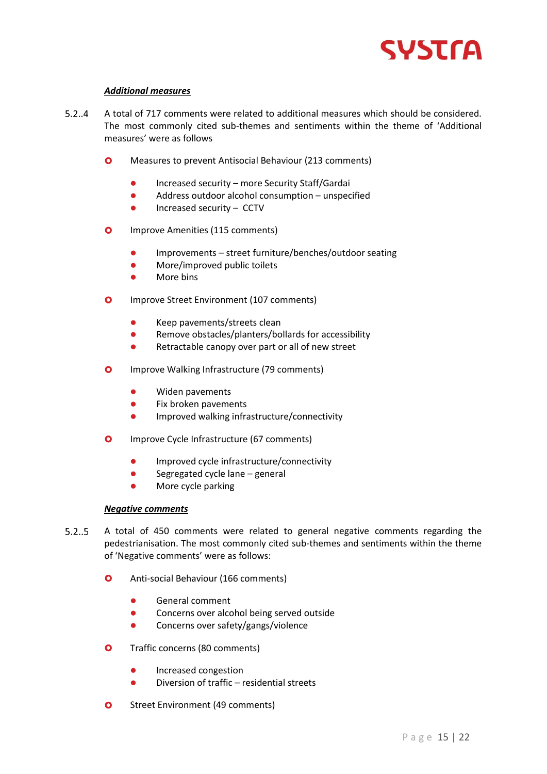

## *Additional measures*

- $5.2.4$ A total of 717 comments were related to additional measures which should be considered. The most commonly cited sub-themes and sentiments within the theme of 'Additional measures' were as follows
	- **O** Measures to prevent Antisocial Behaviour (213 comments)
		- Increased security more Security Staff/Gardai
		- Address outdoor alcohol consumption unspecified
		- Increased security CCTV
	- **O** Improve Amenities (115 comments)
		- Improvements street furniture/benches/outdoor seating
		- ⚫ More/improved public toilets
		- ⚫ More bins
	- **O** Improve Street Environment (107 comments)
		- ⚫ Keep pavements/streets clean
		- Remove obstacles/planters/bollards for accessibility
		- Retractable canopy over part or all of new street
	- **O** Improve Walking Infrastructure (79 comments)
		- ⚫ Widen pavements
		- Fix broken pavements
		- ⚫ Improved walking infrastructure/connectivity
	- **O** Improve Cycle Infrastructure (67 comments)
		- ⚫ Improved cycle infrastructure/connectivity
		- Segregated cycle lane general
		- ⚫ More cycle parking

## *Negative comments*

- A total of 450 comments were related to general negative comments regarding the  $5.2.5$ pedestrianisation. The most commonly cited sub-themes and sentiments within the theme of 'Negative comments' were as follows:
	- **O** Anti-social Behaviour (166 comments)
		- ⚫ General comment
		- Concerns over alcohol being served outside
		- Concerns over safety/gangs/violence
	- **O** Traffic concerns (80 comments)
		- ⚫ Increased congestion
		- ⚫ Diversion of traffic residential streets
	- **O** Street Environment (49 comments)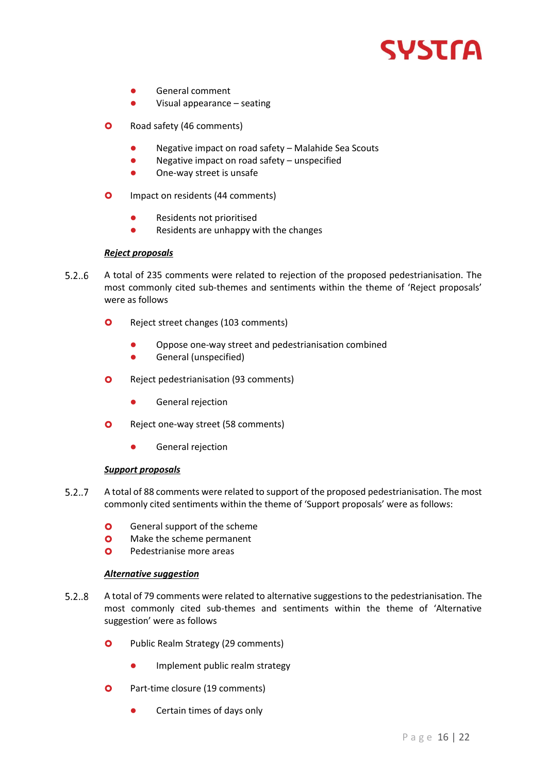

- ⚫ General comment
- ⚫ Visual appearance seating
- **O** Road safety (46 comments)
	- Negative impact on road safety Malahide Sea Scouts
	- Negative impact on road safety unspecified
	- ⚫ One-way street is unsafe
- **O** Impact on residents (44 comments)
	- Residents not prioritised
	- Residents are unhappy with the changes

## *Reject proposals*

- $5.2..6$ A total of 235 comments were related to rejection of the proposed pedestrianisation. The most commonly cited sub-themes and sentiments within the theme of 'Reject proposals' were as follows
	- **O** Reject street changes (103 comments)
		- ⚫ Oppose one-way street and pedestrianisation combined
		- ⚫ General (unspecified)
	- **O** Reject pedestrianisation (93 comments)
		- ⚫ General rejection
	- **O** Reject one-way street (58 comments)
		- ⚫ General rejection

## *Support proposals*

- $5.2..7$ A total of 88 comments were related to support of the proposed pedestrianisation. The most commonly cited sentiments within the theme of 'Support proposals' were as follows:
	- **O** General support of the scheme
	- **O** Make the scheme permanent
	- **O** Pedestrianise more areas

## *Alternative suggestion*

- $5.2.8$ A total of 79 comments were related to alternative suggestions to the pedestrianisation. The most commonly cited sub-themes and sentiments within the theme of 'Alternative suggestion' were as follows
	- **O** Public Realm Strategy (29 comments)
		- Implement public realm strategy
	- **O** Part-time closure (19 comments)
		- Certain times of days only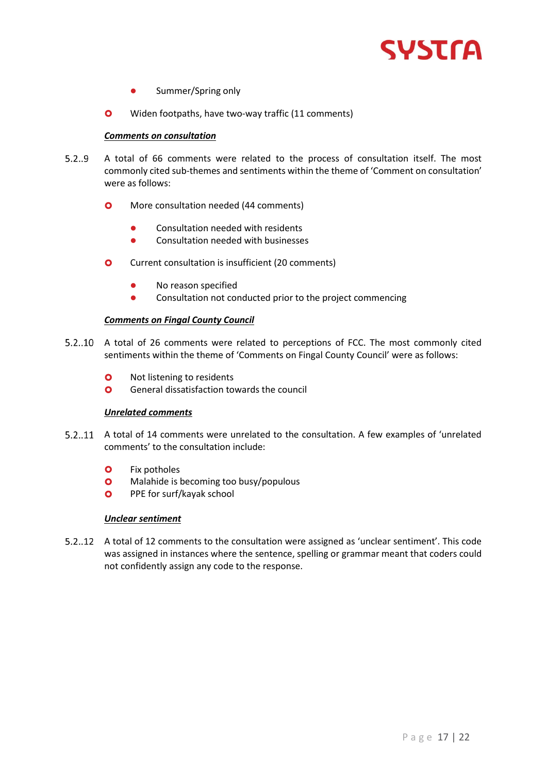

- Summer/Spring only
- **O** Widen footpaths, have two-way traffic (11 comments)

#### *Comments on consultation*

- $5.2.9$ A total of 66 comments were related to the process of consultation itself. The most commonly cited sub-themes and sentiments within the theme of 'Comment on consultation' were as follows:
	- **O** More consultation needed (44 comments)
		- Consultation needed with residents
		- Consultation needed with businesses
	- **O** Current consultation is insufficient (20 comments)
		- ⚫ No reason specified
		- Consultation not conducted prior to the project commencing

## *Comments on Fingal County Council*

- 5.2..10 A total of 26 comments were related to perceptions of FCC. The most commonly cited sentiments within the theme of 'Comments on Fingal County Council' were as follows:
	- **O** Not listening to residents
	- **O** General dissatisfaction towards the council

## *Unrelated comments*

- A total of 14 comments were unrelated to the consultation. A few examples of 'unrelated comments' to the consultation include:
	- **O** Fix potholes
	- **O** Malahide is becoming too busy/populous
	- **O** PPE for surf/kayak school

## *Unclear sentiment*

A total of 12 comments to the consultation were assigned as 'unclear sentiment'. This code was assigned in instances where the sentence, spelling or grammar meant that coders could not confidently assign any code to the response.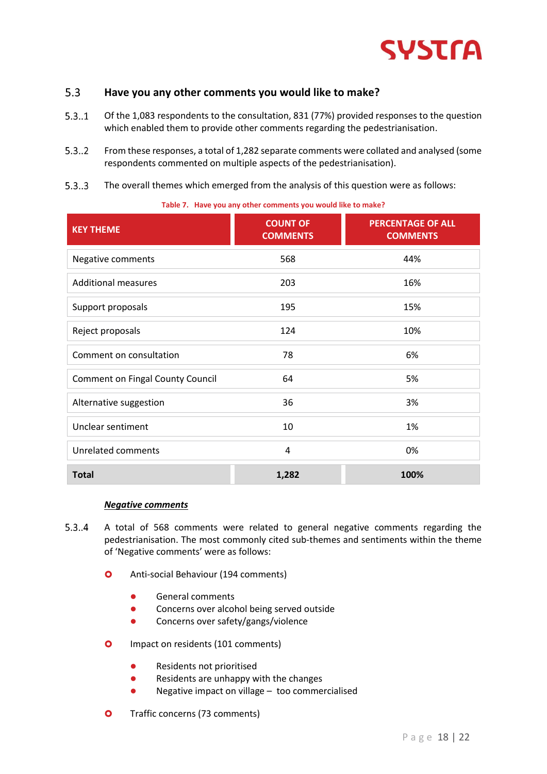

#### <span id="page-16-0"></span> $5.3$ **Have you any other comments you would like to make?**

- $5.3..1$ Of the 1,083 respondents to the consultation, 831 (77%) provided responses to the question which enabled them to provide other comments regarding the pedestrianisation.
- $5.3.2$ From these responses, a total of 1,282 separate comments were collated and analysed (some respondents commented on multiple aspects of the pedestrianisation).
- $5.3...3$ The overall themes which emerged from the analysis of this question were as follows:

| <b>KEY THEME</b>                        | <b>COUNT OF</b><br><b>COMMENTS</b> | <b>PERCENTAGE OF ALL</b><br><b>COMMENTS</b> |
|-----------------------------------------|------------------------------------|---------------------------------------------|
| Negative comments                       | 568                                | 44%                                         |
| <b>Additional measures</b>              | 203                                | 16%                                         |
| Support proposals                       | 195                                | 15%                                         |
| Reject proposals                        | 124                                | 10%                                         |
| Comment on consultation                 | 78                                 | 6%                                          |
| <b>Comment on Fingal County Council</b> | 64                                 | 5%                                          |
| Alternative suggestion                  | 36                                 | 3%                                          |
| Unclear sentiment                       | 10                                 | 1%                                          |
| <b>Unrelated comments</b>               | 4                                  | 0%                                          |
| <b>Total</b>                            | 1,282                              | 100%                                        |

**Table 7. Have you any other comments you would like to make?**

#### *Negative comments*

- $5.3.4$ A total of 568 comments were related to general negative comments regarding the pedestrianisation. The most commonly cited sub-themes and sentiments within the theme of 'Negative comments' were as follows:
	- **O** Anti-social Behaviour (194 comments)
		- ⚫ General comments
		- Concerns over alcohol being served outside
		- Concerns over safety/gangs/violence
	- **O** Impact on residents (101 comments)
		- Residents not prioritised
		- ⚫ Residents are unhappy with the changes
		- ⚫ Negative impact on village too commercialised
	- **O** Traffic concerns (73 comments)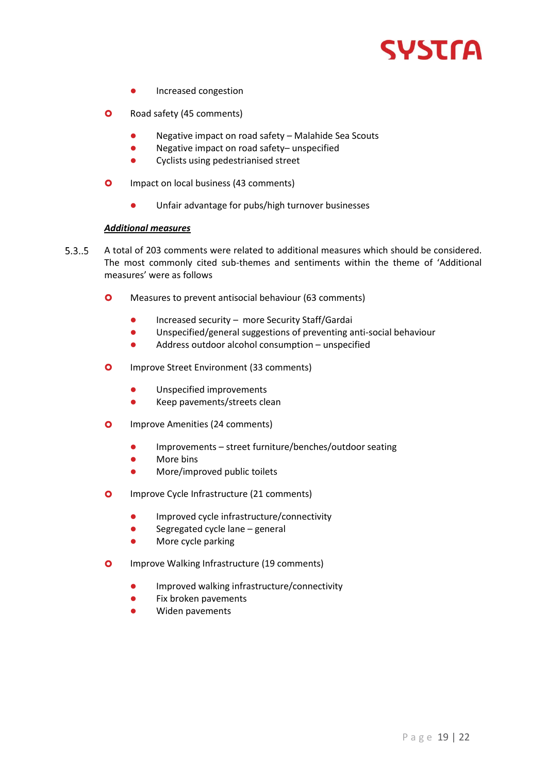

- ⚫ Increased congestion
- **O** Road safety (45 comments)
	- Negative impact on road safety Malahide Sea Scouts
	- Negative impact on road safety– unspecified
	- ⚫ Cyclists using pedestrianised street
- **O** Impact on local business (43 comments)
	- ⚫ Unfair advantage for pubs/high turnover businesses

## *Additional measures*

- $5.3.5$ A total of 203 comments were related to additional measures which should be considered. The most commonly cited sub-themes and sentiments within the theme of 'Additional measures' were as follows
	- **O** Measures to prevent antisocial behaviour (63 comments)
		- Increased security more Security Staff/Gardai
		- ⚫ Unspecified/general suggestions of preventing anti-social behaviour
		- Address outdoor alcohol consumption unspecified
	- **O** Improve Street Environment (33 comments)
		- ⚫ Unspecified improvements
		- ⚫ Keep pavements/streets clean
	- **O** Improve Amenities (24 comments)
		- ⚫ Improvements street furniture/benches/outdoor seating
		- More bins
		- ⚫ More/improved public toilets
	- **O** Improve Cycle Infrastructure (21 comments)
		- ⚫ Improved cycle infrastructure/connectivity
		- Segregated cycle lane general
		- ⚫ More cycle parking
	- **O** Improve Walking Infrastructure (19 comments)
		- Improved walking infrastructure/connectivity
		- ⚫ Fix broken pavements
		- ⚫ Widen pavements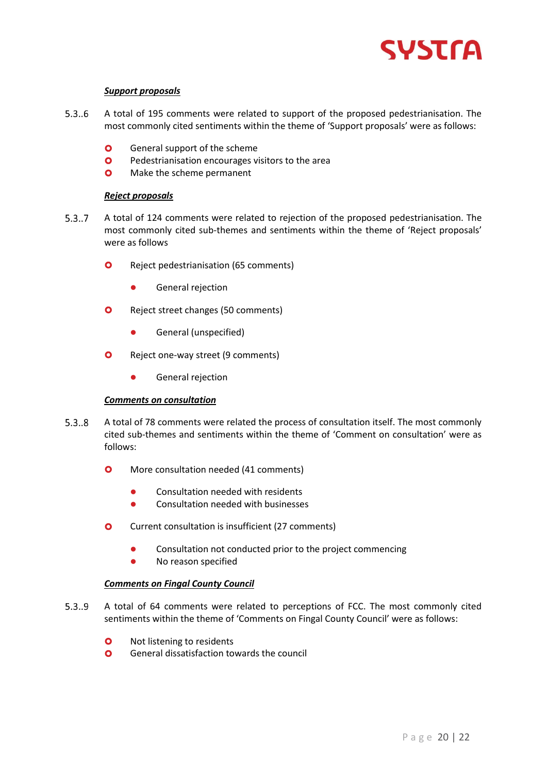

#### *Support proposals*

- $5.3..6$ A total of 195 comments were related to support of the proposed pedestrianisation. The most commonly cited sentiments within the theme of 'Support proposals' were as follows:
	- **O** General support of the scheme
	- **O** Pedestrianisation encourages visitors to the area
	- **O** Make the scheme permanent

#### *Reject proposals*

- $5.3..7$ A total of 124 comments were related to rejection of the proposed pedestrianisation. The most commonly cited sub-themes and sentiments within the theme of 'Reject proposals' were as follows
	- **O** Reject pedestrianisation (65 comments)
		- ⚫ General rejection
	- **O** Reject street changes (50 comments)
		- ⚫ General (unspecified)
	- **O** Reject one-way street (9 comments)
		- ⚫ General rejection

#### *Comments on consultation*

- $5.3..8$ A total of 78 comments were related the process of consultation itself. The most commonly cited sub-themes and sentiments within the theme of 'Comment on consultation' were as follows:
	- **O** More consultation needed (41 comments)
		- Consultation needed with residents
		- Consultation needed with businesses
	- **O** Current consultation is insufficient (27 comments)
		- ⚫ Consultation not conducted prior to the project commencing
		- ⚫ No reason specified

#### *Comments on Fingal County Council*

- $5.3.9$ A total of 64 comments were related to perceptions of FCC. The most commonly cited sentiments within the theme of 'Comments on Fingal County Council' were as follows:
	- **O** Not listening to residents
	- **O** General dissatisfaction towards the council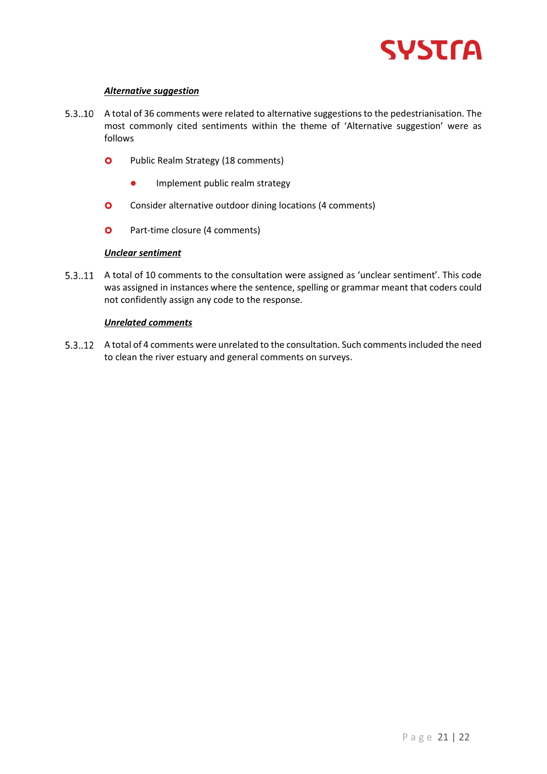

## *Alternative suggestion*

- 5.3..10 A total of 36 comments were related to alternative suggestions to the pedestrianisation. The most commonly cited sentiments within the theme of 'Alternative suggestion' were as follows
	- **O** Public Realm Strategy (18 comments)
		- Implement public realm strategy
	- **O** Consider alternative outdoor dining locations (4 comments)
	- **O** Part-time closure (4 comments)

#### *Unclear sentiment*

5.3..11 A total of 10 comments to the consultation were assigned as 'unclear sentiment'. This code was assigned in instances where the sentence, spelling or grammar meant that coders could not confidently assign any code to the response.

#### *Unrelated comments*

A total of 4 comments were unrelated to the consultation. Such comments included the need to clean the river estuary and general comments on surveys.